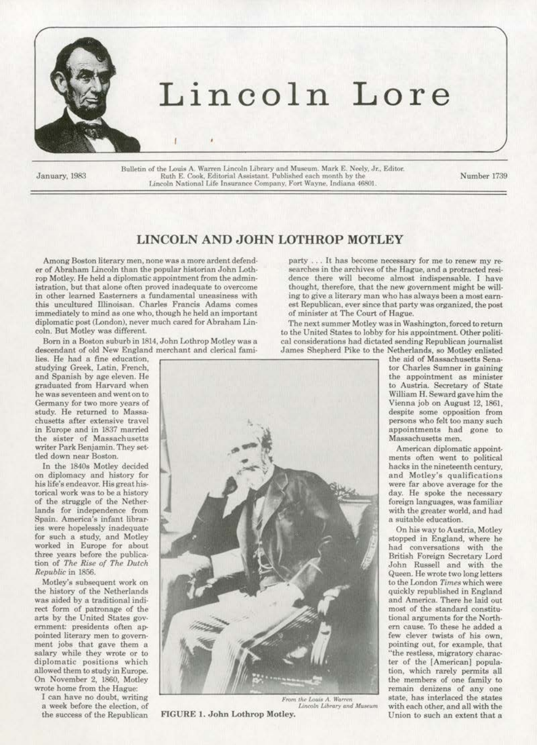

## Lincoln Lore

January, 1983

Bulletin of the Louis A. Warren Lincoln Library and Museum. Mark E. Neely, Jr., Editor. Ruth E. Cook, Editorial Assistant. Published each month by the Lincoln National Life Insurance Company, Fort Wayne, Indiana 46801.

Number 1739

## LINCOLN AND JOHN LOTHROP MOTLEY

Among Boston literary men, none was a more ardent defender of Abraham Lincoln than the popular historian John Lothrop Motley. He held a diplomatic appointment from the administration, but that alone often proved inadequate to overcome in other learned Easterners a fundamental uneasiness with this uncultured Illinoisan. Charles Francis Adams comes immediately to mind as one who, though he held an important diplomatic post (London), never much cared for Abraham Lincoln. But Motley was different.

Born in a Boston suburb in 1814. John Lothrop Motley was a descendant of old New England merchant and clerical fami-

lies. He had a fine education. studying Greek, Latin, French, and Spanish by age eleven. He graduated from Harvard when he was seventeen and went on to Germany for two more years of study. He returned to Massachusetts after extensive travel in Europe and in 1837 married the sister of Massachusetts writer Park Benjamin. They settled down near Boston.

In the 1840s Motley decided on diplomacy and history for his life's endeavor. His great historical work was to be a history of the struggle of the Netherlands for independence from Spain. America's infant libraries were hopelessly inadequate for such a study, and Motley worked in Europe for about three years before the publication of The Rise of The Dutch Republic in 1856.

Motley's subsequent work on the history of the Netherlands was aided by a traditional indirect form of patronage of the arts by the United States government: presidents often appointed literary men to government jobs that gave them a salary while they wrote or to diplomatic positions which allowed them to study in Europe. On November 2, 1860, Motley wrote home from the Hague:

I can have no doubt, writing a week before the election, of the success of the Republican



FIGURE 1. John Lothrop Motley.

party ... It has become necessary for me to renew my researches in the archives of the Hague, and a protracted residence there will become almost indispensable. I have thought, therefore, that the new government might be willing to give a literary man who has always been a most earnest Republican, ever since that party was organized, the post of minister at The Court of Hague.

The next summer Motley was in Washington, forced to return to the United States to lobby for his appointment. Other political considerations had dictated sending Republican journalist James Shepherd Pike to the Netherlands, so Motley enlisted

the aid of Massachusetts Senator Charles Sumner in gaining the appointment as minister to Austria. Secretary of State William H. Seward gave him the Vienna job on August 12, 1861, despite some opposition from persons who felt too many such appointments had gone to Massachusetts men.

American diplomatic appointments often went to political hacks in the nineteenth century. and Motley's qualifications were far above average for the day. He spoke the necessary foreign languages, was familiar with the greater world, and had a suitable education.

On his way to Austria, Motley stopped in England, where he had conversations with the British Foreign Secretary Lord John Russell and with the Queen. He wrote two long letters to the London Times which were quickly republished in England and America. There he laid out most of the standard constitutional arguments for the Northern cause. To these he added a few clever twists of his own. pointing out, for example, that "the restless, migratory character of the [American] population, which rarely permits all the members of one family to remain denizens of any one state, has interlaced the states with each other, and all with the Union to such an extent that a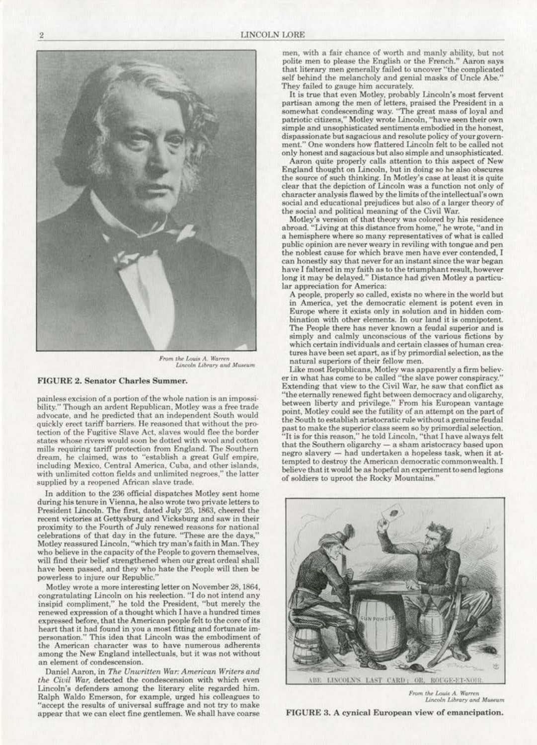

*Prom the Louis A. Warren*<br>*Lincoln Library and Museum* 

## FIGURE 2. Senator Charles Summer.

painless excision of a portion of the whole nation is an impossibility.'' Though an ardent Republican. Motley was a free trade advocate. and he predicted that an independent South would quickly erect tariff barriers. He reasoned that without the pro· tection of the Fugitive Slave Act, slaves would flee the border states whose rivers would soon be dotted with wool and cotton mills requiring tariff protection from England. The Southern dream. he claimed. was to "establish a great Gulf empire, including Mexico, Central America. Cuba, and other islands. with unlimited cotton fields and unlimited negroes," the latter supplied by a reopened African slave trade.

In addition to the 236 official dispatches Motley sent home during his tenure in Vienna, he also wrote two private letters to President Lincoln. The first, dated July 25, !863, cheered the recent victories at Gettysburg and Vicksburg and saw in their proximity to the Fourth of July renewed reasons for national celebrations of that day in the future. "These are the days." Motley reassured Lincoln, "which try man's faith in Man. They who believe in the capacity of the People to govern themselves, will find their belief strengthened when our great ordeal shall have been passed. and they who hate the People will then be powerless to injure our Republic."

Motley wrote a more interesting letter on November 28, 1864, congratulating Lincoln on his reelection. "I do not intend any insipid compliment," he told the President, "but merely the renewed expression of a thought which I have a hundred times expressed before, that the American people felt to the core of its heart that it had found in you a most fitting and fortunate impersonation." This idea that Lincoln was the embodiment of the American character was to have numerous adherents among the New England intellectuals, but it was not without an element of condescension.

Daniel Aaron, in The Unwritten War: American Writers and *the Civil War,* detected the condescension with which even<br>Lincoln's defenders among the literary elite regarded him. Ralph Waldo Emerson, for example, urged his colleagues to "accept the results of universal suffrage and not try to make appear that we can elect fine gentlemen. We shall have coarse:

men, with a fair chance of worth and manly ability, but not polite men to please the English or the French." Aaron says that literary men generally failed to uncover ''the complicated self behind the melancholy and genial masks of Uncle Abe." They failed to gauge him accurately.

It is true that even Motley, probably Lincoln's most fervent partisan among the men of letters, praised the President in a somewhat condescending way. "The great mass of loyal and patriotic citizens," Motley wrote Lincoln, "have seen their own simple and unsophisticated sentiments embodied in the honest, dispassionate but sagacious and resolute policy of your govern· ment." One wonders how flattered Lincoln felt to be called not only honest and sagacious but also simple and unsophisticated.

Aaron quite properly calls attention to this aspect of New England thought on Lincoln, but in doing so he also obscures the source of such thinking. In Motley's case at least it is quite clear that the depiction of Lincoln was a function not only of<br>character analysis flawed by the limits of the intellectual's own social and educational prejudices but also of a larger theory of the soeial and political meaning of the Civil War.

Motley's version of that theory was colored by his residence abroad. "Living at this distance from home," he wrote, "and in a hemisphere where ao many representatives of what is called public opinion are never weary in reviling with tongue and pen the noblest cause for which brave men have ever contended, I can honestly say that never for an instant since the war began have I faltered in my faith as to the triumphant result, however long it may be delayed." Distance had given Motley a particu· lar appreciation for America:

A people, properly so called, exists no where in the world but in America, yet the democratic element is potent even in<br>Europe where it exists only in solution and in hidden combination with other elements. In our land it is omnipotent. The People there has never known a feudal superior and is simply and calmly unconscious of the various fictions by which certain individuals and certain classes of human creatures have been set apart, as if by primordial selection, as the natural superiors of their fellow men. Like most Republicans, Motley was apparently a firm believ·

er in what has come to be called "the slave power conspiracy," Extending that view to the Civil War, he saw that conflict as "tbe eternally renewed fight between democracy and oligarchy, between liberty and privilege." From his European vantage point, Motley could see the futility of an attempt on the part of the South to establish aristocratic rule withouta genuine feudal past to make the superior class seem so by primordial selection. "It is for this reason," he told Lincoln, "that I have always felt that the Southern oligarchy - a sham aristocracy based upon negro slavery - had undertaken a hopeless task, when it attempted to destroy the American democratic commonwealth. I believe that it would be as hopeful an experiment to send legions of soldiers to uproot the Rocky Mountains.''



From the Louis A. Warren Lincoln Library and Museum

FIGURE 3. A cynical European view of emancipation.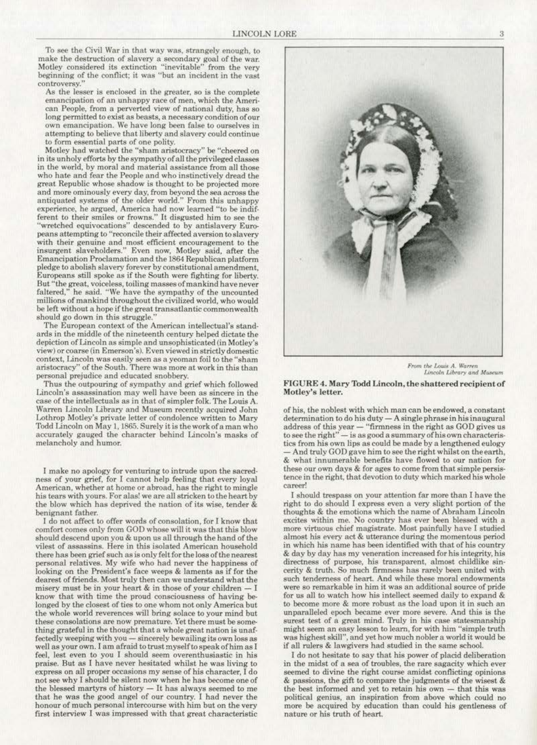To see the Civil War in that way was, strangely enough, to make the destruction of slavery a secondary goal of the war. Motley considered its extinction "inevitable" from the very beginning of the conflict; it was "but an incident in the vast controversy."

As the lesser is enclosed in the greater, so is the complete emancipation of an unhappy race of men, which the Ameri-<br>can People, from a perverted view of national duty, has so long permitted to exist as beasts, a necessary condition of our own emancipation. We have long been false to ourselves in attempting to believe that liberty and slavery could continue to form essential parts of one polity.

Motley had watched the "sham aristocracy" be "cheered on in its unholy efforts by the sympathy of all the privileged classes in the world, by moral and material assistance from all those who hate and fear the People and who instinctively dread the great Republic whose shadow is thought to be projected more and more ominously every day, from beyond the sea across the antiquated systems of the older world." From this unhappy experience, he argued, America had now learned "to be indifferent to their smiles or frowns." Jt disgusted him to see the "wretched equivocations" descended to by antislavery Europeans attempting *to* "reconcile their affected aversion to slavery with their genuine and most efficient encouragement to the insurgent slaveholders." Even now, Motley said, after the Emancipation Proclamation and the 1864 Republican platform pledge to abolish slavery forever by constitutional amendment, Europeans still spoke as if the South were fighting for liberty. faltered," he said. "We have the sympathy of the uncounted millions of mankind throughout the civilized world, who would be left. without a hope if the great transatlantic commonwealth should go down in this struggle."

The European context of the American intellectual's standards in the middle of the nineteenth century helped dictate the depiction of Lincoln as simple and unsophisticated (in Motley's view) or coarse (in Emerson's). Even viewed in strictly domestic context, Lincoln was easily seen as a yeoman foil to the "sham aristocracy" of the South. There was more at work in this than personal prejudice and educated snobbery.

Thus the outpouring of sympathy and grief which followed Lincoln's assassination may well have been as sincere in the case of the intellectuals as in that of simpler folk. The Louis A. Warren Lincoln Library and Museum recently acquired John Lothrop Motley's private letter of condolence written to Mary Todd Lincoln on May 1, 1865. Surely it is the work of a man who accurately gauged the character behind Lincoln's masks of melancholy and humor.

I make no apology for venturing to intrude upon the sacredness of your grief, for I cannot help feeling that every loyal American, whether at home or abroad, has the right to mingle his tears with yours. For alas! we are all stricken to the heart by the blow which has deprived the nation of its wise, tender &

benignant father.<br>I do not affect to offer words of consolation, for I know that<br>comfort comes only from GOD whose will it was that this blow should descend upon you & upon us all through the hand of the vilest of assassins. Here in this isolated American household there has been grief such as is only felt for the loss of the nearest personal relatives. My wife who had never the happiness of looking on the President's face weeps & laments as if for the dearest of friends. Most truly then can we understand what the misery must be in your heart & in those of your children know that with time the proud consciousness of having belonged by the closest of ties to one whom not only America but the whole world reverences will bring solace to your mind but<br>these consolations are now premature. Yet there must be something grateful in the thought that a whole great nation is unaffectedly weeping with you - sincerely bewailing its own loss as well as your own. I am afreid to trust myself to speak ofhim as I feel, lest even to you I should seem overenthusiastic in his praise. But as I have never hesitated whilst he was living to express on all proper occasions my sense of his character. I do not see why I should be silent now when he has become one of the blessed martyrs of history - It has always seemed to me that he was the good angel of our country. [ had never the honour of much personal intercourse with him but on the very first interview I was impressed with that great characteristic



From the Louis A. Warren Lincoln Library and Museum

## FIGURE 4. Mary Todd Lincoln, the shattered recipient of Motley's letter.

of his, the noblest with which man can be endowed, a constant  $d$ etermination to do his  $d$ uty  $- A$  single phrase in his inaugural address of this year - "firmness in the right as GOD gives us to see the right"- is as good a summary of his own characteristics from his own lips as could be made by a lengthened eulogy And truly GOD gave him to see the right whilst on the earth, & what innumerable benefits have flowed to our nation for these our own days & for ages to come from that simple persistence in the right, that devotion to duty which marked his whole career!

I should trespass on your attention far more than I have the right to do should I express even a very slight portion of the thoughts & the emotions which the name of Abraham Lincoln more virtuous chief magistrate. Most painfully have I studied almost his every act & utterance during the momentous period in which his name has been identified with that of his country & day by day has my veneration increased for his integrity. his directness of purpose, his transparent, almost childlike sincerity & truth. So much firmneas has rarely been united with such tenderness of heart. And while these moral endowments<br>were so remarkable in him it was an additional source of pride for us all to watch how his intellect seemed daily to expand & to become more & more robust as the load upon it in such an unparalleled epoch became ever more severe. And this is the surest test of a great mind. Truly in his case statesmanship<br>might seem an easy lesson to learn, for with him "simple truth was highest skill", and yet how much nobler a world it would be if all rulers & lawgivers had studied in the same school

I do not hesitate to say that his power of placid deliberation in the midst of a sea of troubles. the rare sagacity which ever seemed to divine the right course amidst conflicting opinions & passions, the gift to compare the judgments of the wisest & the best informed and yet to retain his own  $-$  that this was political genius, an inspiration from above which could no more be acquired by education than could his gentleness of nature or his truth of heart.